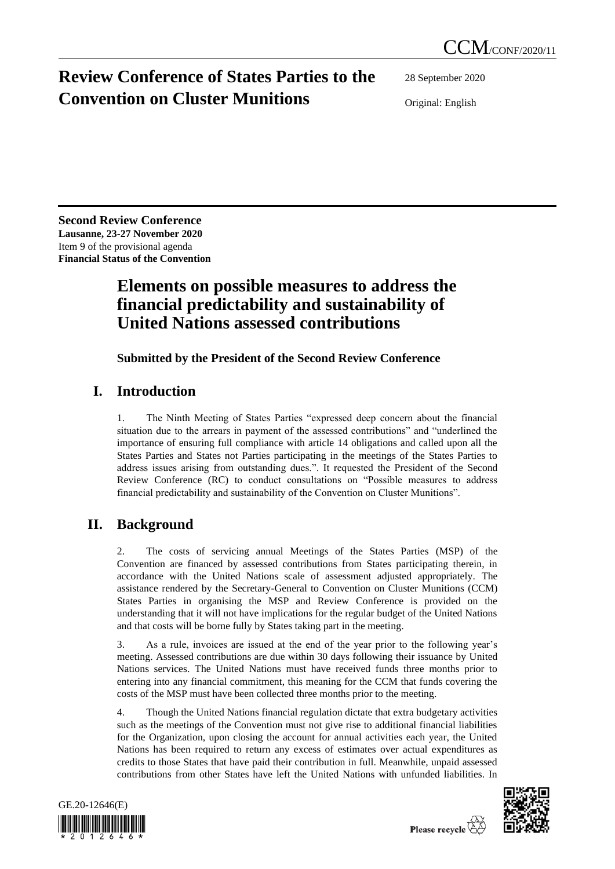# **Review Conference of States Parties to the Convention on Cluster Munitions**

28 September 2020

Original: English

**Second Review Conference Lausanne, 23-27 November 2020** Item 9 of the provisional agenda **Financial Status of the Convention**

## **Elements on possible measures to address the financial predictability and sustainability of United Nations assessed contributions**

**Submitted by the President of the Second Review Conference**

### **I. Introduction**

1. The Ninth Meeting of States Parties "expressed deep concern about the financial situation due to the arrears in payment of the assessed contributions" and "underlined the importance of ensuring full compliance with article 14 obligations and called upon all the States Parties and States not Parties participating in the meetings of the States Parties to address issues arising from outstanding dues.". It requested the President of the Second Review Conference (RC) to conduct consultations on "Possible measures to address financial predictability and sustainability of the Convention on Cluster Munitions".

## **II. Background**

2. The costs of servicing annual Meetings of the States Parties (MSP) of the Convention are financed by assessed contributions from States participating therein, in accordance with the United Nations scale of assessment adjusted appropriately. The assistance rendered by the Secretary-General to Convention on Cluster Munitions (CCM) States Parties in organising the MSP and Review Conference is provided on the understanding that it will not have implications for the regular budget of the United Nations and that costs will be borne fully by States taking part in the meeting.

3. As a rule, invoices are issued at the end of the year prior to the following year's meeting. Assessed contributions are due within 30 days following their issuance by United Nations services. The United Nations must have received funds three months prior to entering into any financial commitment, this meaning for the CCM that funds covering the costs of the MSP must have been collected three months prior to the meeting.

4. Though the United Nations financial regulation dictate that extra budgetary activities such as the meetings of the Convention must not give rise to additional financial liabilities for the Organization, upon closing the account for annual activities each year, the United Nations has been required to return any excess of estimates over actual expenditures as credits to those States that have paid their contribution in full. Meanwhile, unpaid assessed contributions from other States have left the United Nations with unfunded liabilities. In



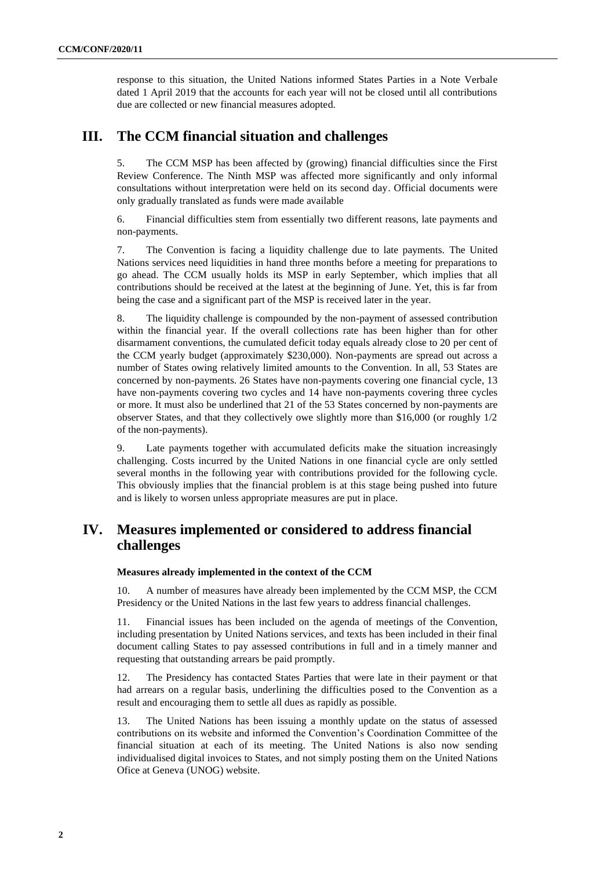response to this situation, the United Nations informed States Parties in a Note Verbale dated 1 April 2019 that the accounts for each year will not be closed until all contributions due are collected or new financial measures adopted.

### **III. The CCM financial situation and challenges**

5. The CCM MSP has been affected by (growing) financial difficulties since the First Review Conference. The Ninth MSP was affected more significantly and only informal consultations without interpretation were held on its second day. Official documents were only gradually translated as funds were made available

6. Financial difficulties stem from essentially two different reasons, late payments and non-payments.

7. The Convention is facing a liquidity challenge due to late payments. The United Nations services need liquidities in hand three months before a meeting for preparations to go ahead. The CCM usually holds its MSP in early September, which implies that all contributions should be received at the latest at the beginning of June. Yet, this is far from being the case and a significant part of the MSP is received later in the year.

8. The liquidity challenge is compounded by the non-payment of assessed contribution within the financial year. If the overall collections rate has been higher than for other disarmament conventions, the cumulated deficit today equals already close to 20 per cent of the CCM yearly budget (approximately \$230,000). Non-payments are spread out across a number of States owing relatively limited amounts to the Convention. In all, 53 States are concerned by non-payments. 26 States have non-payments covering one financial cycle, 13 have non-payments covering two cycles and 14 have non-payments covering three cycles or more. It must also be underlined that 21 of the 53 States concerned by non-payments are observer States, and that they collectively owe slightly more than \$16,000 (or roughly 1/2 of the non-payments).

9. Late payments together with accumulated deficits make the situation increasingly challenging. Costs incurred by the United Nations in one financial cycle are only settled several months in the following year with contributions provided for the following cycle. This obviously implies that the financial problem is at this stage being pushed into future and is likely to worsen unless appropriate measures are put in place.

### **IV. Measures implemented or considered to address financial challenges**

#### **Measures already implemented in the context of the CCM**

10. A number of measures have already been implemented by the CCM MSP, the CCM Presidency or the United Nations in the last few years to address financial challenges.

11. Financial issues has been included on the agenda of meetings of the Convention, including presentation by United Nations services, and texts has been included in their final document calling States to pay assessed contributions in full and in a timely manner and requesting that outstanding arrears be paid promptly.

12. The Presidency has contacted States Parties that were late in their payment or that had arrears on a regular basis, underlining the difficulties posed to the Convention as a result and encouraging them to settle all dues as rapidly as possible.

13. The United Nations has been issuing a monthly update on the status of assessed contributions on its website and informed the Convention's Coordination Committee of the financial situation at each of its meeting. The United Nations is also now sending individualised digital invoices to States, and not simply posting them on the United Nations Ofice at Geneva (UNOG) website.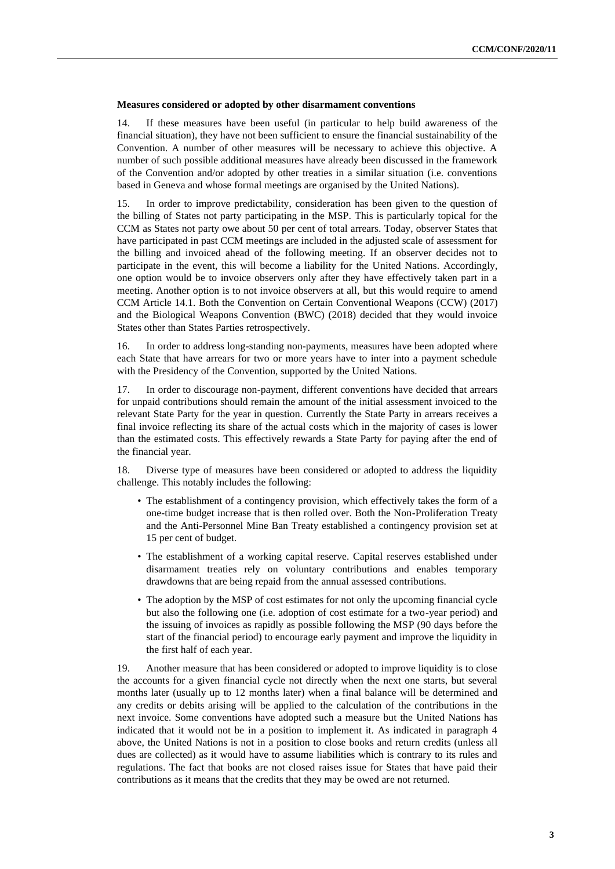#### **Measures considered or adopted by other disarmament conventions**

14. If these measures have been useful (in particular to help build awareness of the financial situation), they have not been sufficient to ensure the financial sustainability of the Convention. A number of other measures will be necessary to achieve this objective. A number of such possible additional measures have already been discussed in the framework of the Convention and/or adopted by other treaties in a similar situation (i.e. conventions based in Geneva and whose formal meetings are organised by the United Nations).

15. In order to improve predictability, consideration has been given to the question of the billing of States not party participating in the MSP. This is particularly topical for the CCM as States not party owe about 50 per cent of total arrears. Today, observer States that have participated in past CCM meetings are included in the adjusted scale of assessment for the billing and invoiced ahead of the following meeting. If an observer decides not to participate in the event, this will become a liability for the United Nations. Accordingly, one option would be to invoice observers only after they have effectively taken part in a meeting. Another option is to not invoice observers at all, but this would require to amend CCM Article 14.1. Both the Convention on Certain Conventional Weapons (CCW) (2017) and the Biological Weapons Convention (BWC) (2018) decided that they would invoice States other than States Parties retrospectively.

16. In order to address long-standing non-payments, measures have been adopted where each State that have arrears for two or more years have to inter into a payment schedule with the Presidency of the Convention, supported by the United Nations.

17. In order to discourage non-payment, different conventions have decided that arrears for unpaid contributions should remain the amount of the initial assessment invoiced to the relevant State Party for the year in question. Currently the State Party in arrears receives a final invoice reflecting its share of the actual costs which in the majority of cases is lower than the estimated costs. This effectively rewards a State Party for paying after the end of the financial year.

18. Diverse type of measures have been considered or adopted to address the liquidity challenge. This notably includes the following:

- The establishment of a contingency provision, which effectively takes the form of a one-time budget increase that is then rolled over. Both the Non-Proliferation Treaty and the Anti-Personnel Mine Ban Treaty established a contingency provision set at 15 per cent of budget.
- The establishment of a working capital reserve. Capital reserves established under disarmament treaties rely on voluntary contributions and enables temporary drawdowns that are being repaid from the annual assessed contributions.
- The adoption by the MSP of cost estimates for not only the upcoming financial cycle but also the following one (i.e. adoption of cost estimate for a two-year period) and the issuing of invoices as rapidly as possible following the MSP (90 days before the start of the financial period) to encourage early payment and improve the liquidity in the first half of each year.

19. Another measure that has been considered or adopted to improve liquidity is to close the accounts for a given financial cycle not directly when the next one starts, but several months later (usually up to 12 months later) when a final balance will be determined and any credits or debits arising will be applied to the calculation of the contributions in the next invoice. Some conventions have adopted such a measure but the United Nations has indicated that it would not be in a position to implement it. As indicated in paragraph 4 above, the United Nations is not in a position to close books and return credits (unless all dues are collected) as it would have to assume liabilities which is contrary to its rules and regulations. The fact that books are not closed raises issue for States that have paid their contributions as it means that the credits that they may be owed are not returned.